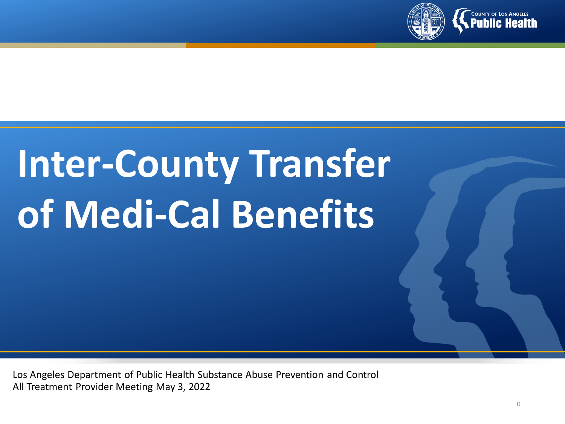

# **Inter-County Transfer of Medi-Cal Benefits**

Los Angeles Department of Public Health Substance Abuse Prevention and Control All Treatment Provider Meeting May 3, 2022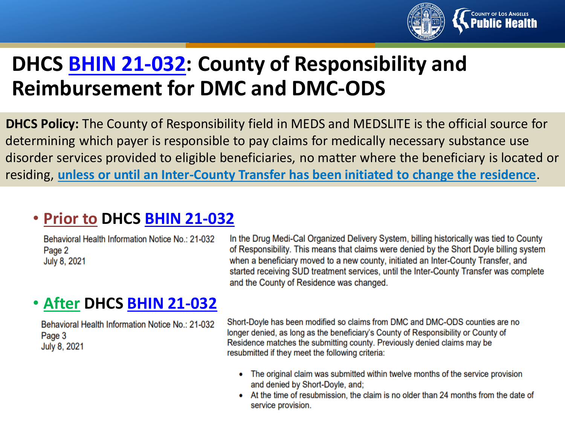

### **DHCS BHIN [21-032:](https://www.dhcs.ca.gov/Documents/BHIN-21-032.pdf) County of Responsibility and Reimbursement for DMC and DMC-ODS**

**DHCS Policy:** The County of Responsibility field in MEDS and MEDSLITE is the official source for determining which payer is responsible to pay claims for medically necessary substance use disorder services provided to eligible beneficiaries, no matter where the beneficiary is located or residing, **unless or until an Inter-County Transfer has been initiated to change the residence**.

#### • **Prior to DHCS BHIN [21-032](https://www.dhcs.ca.gov/Documents/BHIN-21-032.pdf)**

Behavioral Health Information Notice No.: 21-032 Page 2 July 8, 2021

In the Drug Medi-Cal Organized Delivery System, billing historically was tied to County of Responsibility. This means that claims were denied by the Short Doyle billing system when a beneficiary moved to a new county, initiated an Inter-County Transfer, and started receiving SUD treatment services, until the Inter-County Transfer was complete and the County of Residence was changed.

#### • **After DHCS BHIN [21-032](https://www.dhcs.ca.gov/Documents/BHIN-21-032.pdf)**

Behavioral Health Information Notice No.: 21-032 Page 3 July 8, 2021

Short-Doyle has been modified so claims from DMC and DMC-ODS counties are no longer denied, as long as the beneficiary's County of Responsibility or County of Residence matches the submitting county. Previously denied claims may be resubmitted if they meet the following criteria:

- The original claim was submitted within twelve months of the service provision and denied by Short-Doyle, and;
- At the time of resubmission, the claim is no older than 24 months from the date of service provision.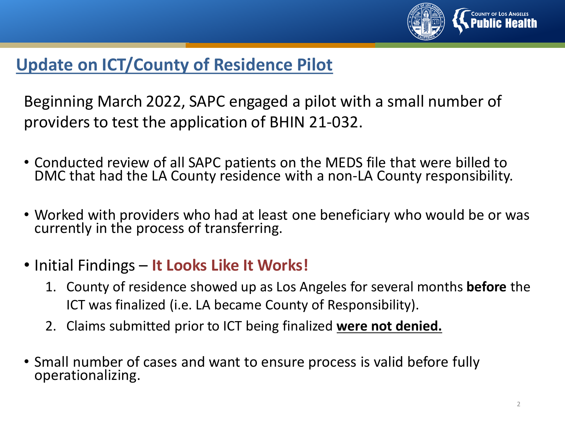

#### **Update on ICT/County of Residence Pilot**

Beginning March 2022, SAPC engaged a pilot with a small number of providers to test the application of BHIN 21-032.

- Conducted review of all SAPC patients on the MEDS file that were billed to DMC that had the LA County residence with a non-LA County responsibility.
- Worked with providers who had at least one beneficiary who would be or was currently in the process of transferring.
- Initial Findings **It Looks Like It Works!**
	- 1. County of residence showed up as Los Angeles for several months **before** the ICT was finalized (i.e. LA became County of Responsibility).
	- 2. Claims submitted prior to ICT being finalized **were not denied.**
- Small number of cases and want to ensure process is valid before fully operationalizing.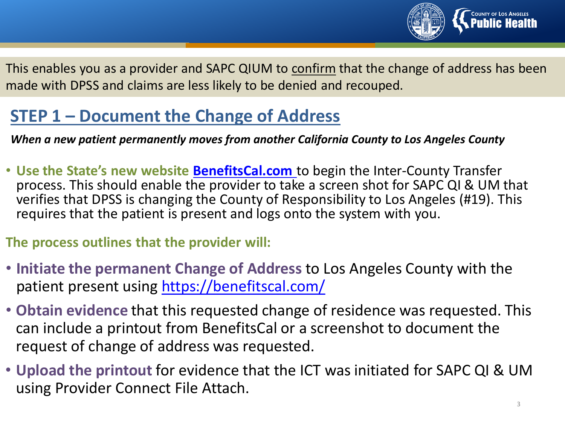

This enables you as a provider and SAPC QIUM to confirm that the change of address has been made with DPSS and claims are less likely to be denied and recouped.

#### **STEP 1 – Document the Change of Address**

*When a new patient permanently moves from another California County to Los Angeles County*

• **Use the State's new website [BenefitsCal.com](https://benefitscal.com/)** to begin the Inter-County Transfer process. This should enable the provider to take a screen shot for SAPC QI & UM that verifies that DPSS is changing the County of Responsibility to Los Angeles (#19). This requires that the patient is present and logs onto the system with you.

**The process outlines that the provider will:**

- **Initiate the permanent Change of Address** to Los Angeles County with the patient present using <https://benefitscal.com/>
- **Obtain evidence** that this requested change of residence was requested. This can include a printout from BenefitsCal or a screenshot to document the request of change of address was requested.
- **Upload the printout** for evidence that the ICT was initiated for SAPC QI & UM using Provider Connect File Attach.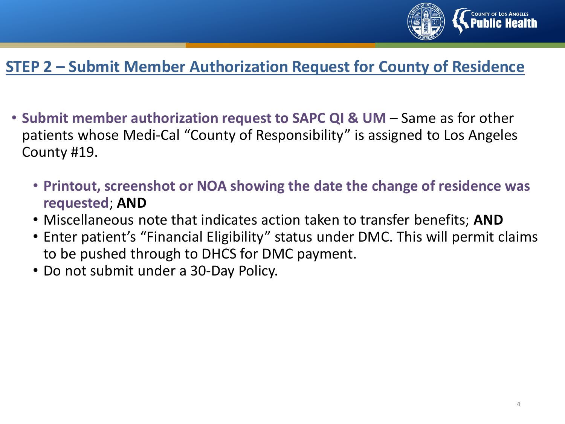

#### **STEP 2 – Submit Member Authorization Request for County of Residence**

- **Submit member authorization request to SAPC QI & UM**  Same as for other patients whose Medi-Cal "County of Responsibility" is assigned to Los Angeles County #19.
	- **Printout, screenshot or NOA showing the date the change of residence was requested**; **AND**
	- Miscellaneous note that indicates action taken to transfer benefits; **AND**
	- Enter patient's "Financial Eligibility" status under DMC. This will permit claims to be pushed through to DHCS for DMC payment.
	- Do not submit under a 30-Day Policy.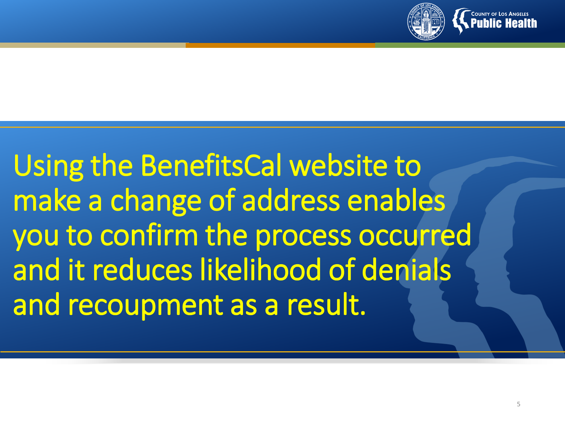

Using the BenefitsCal website to make a change of address enables you to confirm the process occurred and it reduces likelihood of denials and recoupment as a result.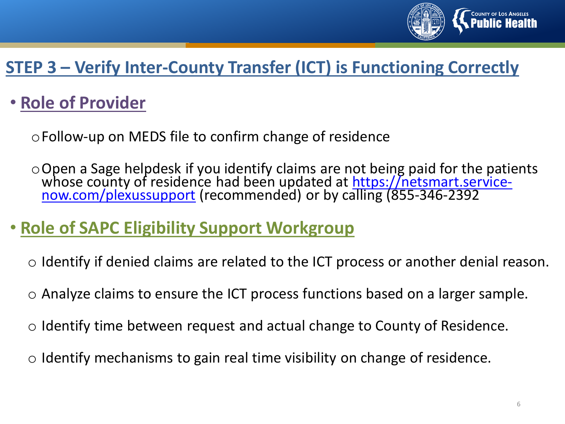

#### **STEP 3 – Verify Inter-County Transfer (ICT) is Functioning Correctly**

#### • **Role of Provider**

oFollow-up on MEDS file to confirm change of residence

oOpen a Sage helpdesk if you identify claims are not being paid for the patients whose county of residence had been updated at <u>https://netsmart.service-</u><br>now.com/plexussupport (recommended) or by calling (855-346-2392

#### • **Role of SAPC Eligibility Support Workgroup**

- o Identify if denied claims are related to the ICT process or another denial reason.
- o Analyze claims to ensure the ICT process functions based on a larger sample.
- $\circ$  Identify time between request and actual change to County of Residence.
- $\circ$  Identify mechanisms to gain real time visibility on change of residence.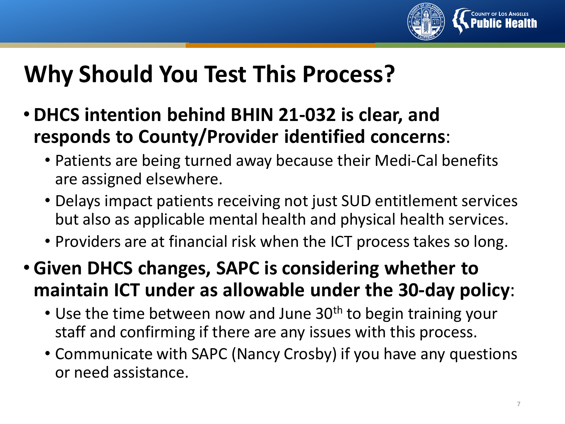

## **Why Should You Test This Process?**

- **DHCS intention behind BHIN 21-032 is clear, and responds to County/Provider identified concerns**:
	- Patients are being turned away because their Medi-Cal benefits are assigned elsewhere.
	- Delays impact patients receiving not just SUD entitlement services but also as applicable mental health and physical health services.
	- Providers are at financial risk when the ICT process takes so long.
- **Given DHCS changes, SAPC is considering whether to maintain ICT under as allowable under the 30-day policy**:
	- Use the time between now and June  $30<sup>th</sup>$  to begin training your staff and confirming if there are any issues with this process.
	- Communicate with SAPC (Nancy Crosby) if you have any questions or need assistance.